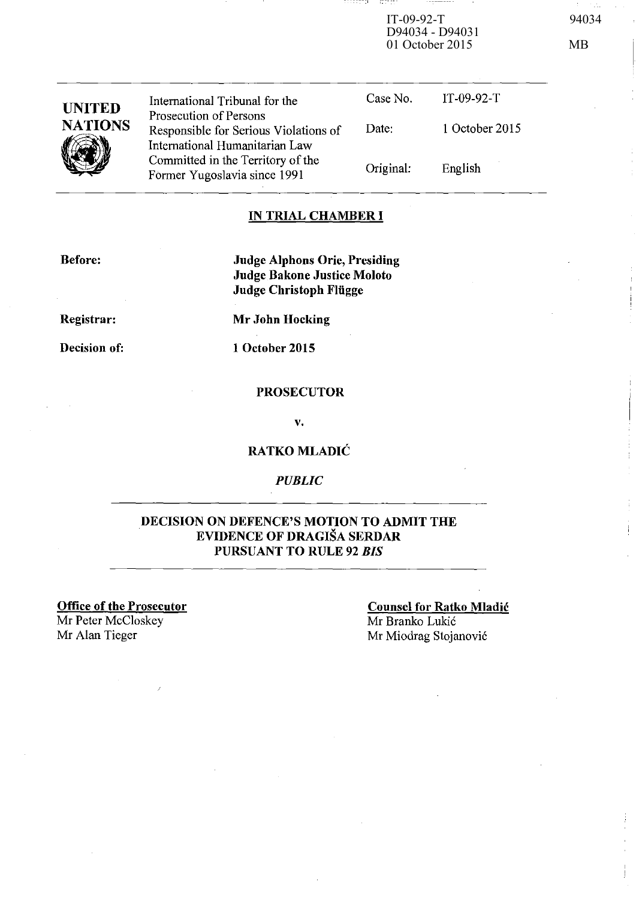IT-09-92-T 94034 D94034 - D94031 01 October 2015 MB

-----,

- ISSN 15

| <b>UNITED</b>  | International Tribunal for the                                                                    | Case No.  | $IT-09-92-T$   |
|----------------|---------------------------------------------------------------------------------------------------|-----------|----------------|
| <b>NATIONS</b> | Prosecution of Persons<br>Responsible for Serious Violations of<br>International Humanitarian Law | Date:     | 1 October 2015 |
|                | Committed in the Territory of the<br>Former Yugoslavia since 1991                                 | Original: | English        |

### **IN TRIAL CHAMBER I**

**Before:** 

**Judge Alphons Orie, Presiding Judge Bakone Justice Moloto Judge Christoph Fliigge** 

**Registrar:** 

**Mr John Hocking** 

**Decision of:** 

**1 October 2015** 

### **PROSECUTOR**

v.

**RATKOMLADIC** 

### *PUBLIC*

### **DECISION ON DEFENCE'S MOTION TO ADMIT THE EVIDENCE OF DRAGISA SERDAR PURSUANT TO RULE 92** *BIS*

**Office of the Prosecutor** 

Mr Peter McCloskey

# **Counsel for Ratko Mladic**  Mr Branko Lukic

Mr Alan Tieger Mr Miodrag Stojanović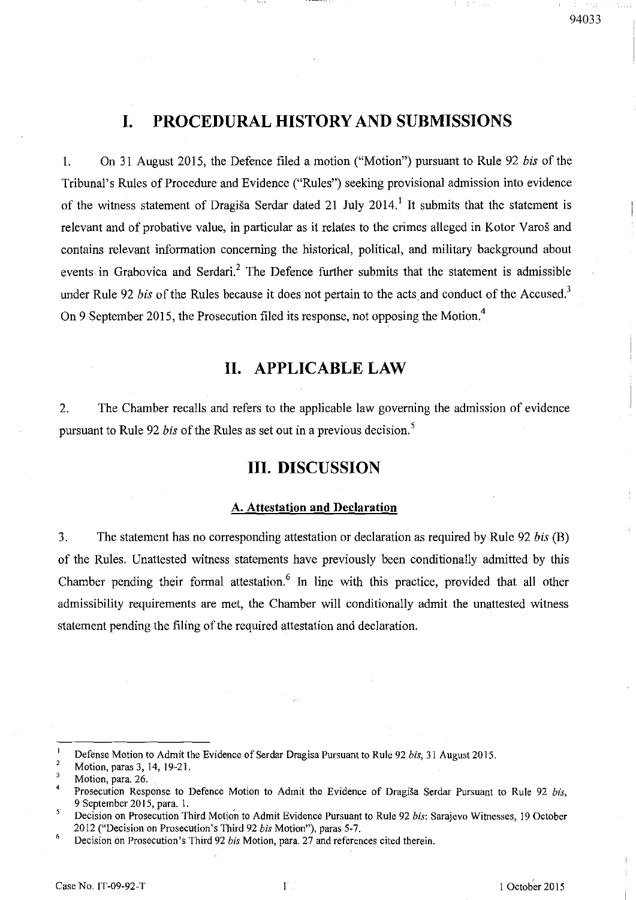# **I. PROCEDURAL HISTORY AND SUBMISSIONS**

I. On 31 August 2015, the Defence filed a motion ("Motion") pursuant to Rule 92 *his* of the Tribunal's Rules of Procedure and Evidence ("Rules") seeking provisional admission into evidence of the witness statement of Dragiša Serdar dated 21 July 2014.<sup>1</sup> It submits that the statement is relevant and of probative value, in particular as it relates to the crimes alleged in Kotor Varos and contains relevant information concerning the historical, political, and military background about events in Grabovica and Serdari.<sup>2</sup> The Defence further submits that the statement is admissible under Rule 92 *bis* of the Rules because it does not pertain to the acts and conduct of the Accused.<sup>3</sup> On 9 September 2015, the Prosecution filed its response, not opposing the Motion.<sup>4</sup>

## **II. APPLICABLE LAW**

2. The Chamber recalls and refers to the applicable law governing the admission of evidence pursuant to Rule 92 *his* of the Rules as set out in a previous decision. <sup>5</sup>

## **III. DISCUSSION**

#### A. **Attestation and Declaration**

3. The statement has no corresponding attestation or declaration as required by Rule 92 *his (8)*  of the Rules. Unattested witness statements have previously been conditionally admitted by this Chamber pending their formal attestation.<sup>6</sup> In line with this practice, provided that all other admissibility requirements are met, the Chamber will conditionally admit the unattested witness statement pending the filing of the required attestation and declaration.

Defense Motion to Admit the Evidence of Serdar Dragisa Pursuant to Rule 92 *bis,* 31 August 2015.  $\overline{2}$ 

Motion, paras 3,14,19-21. 3

Motion, para. 26.

 $\overline{4}$ Prosecution Response to Defence Motion to Admit the Evidence of Dragiša Serdar Pursuant to Rule 92 *bis*, 9 September 20 IS, para. I.

<sup>5</sup> Decision on Prosecution Third Motion to Admit Evidence Pursuant to Rule 92 *bis: Sarajevo Witnesses*, 19 October 2012 ("Decision on Prosecution's Third 92 *his* Motion"), paras 5-7.

 $\boldsymbol{6}$ Decision on Prosecution's Third 92 *his* Motion, para. 27 and references cited therein.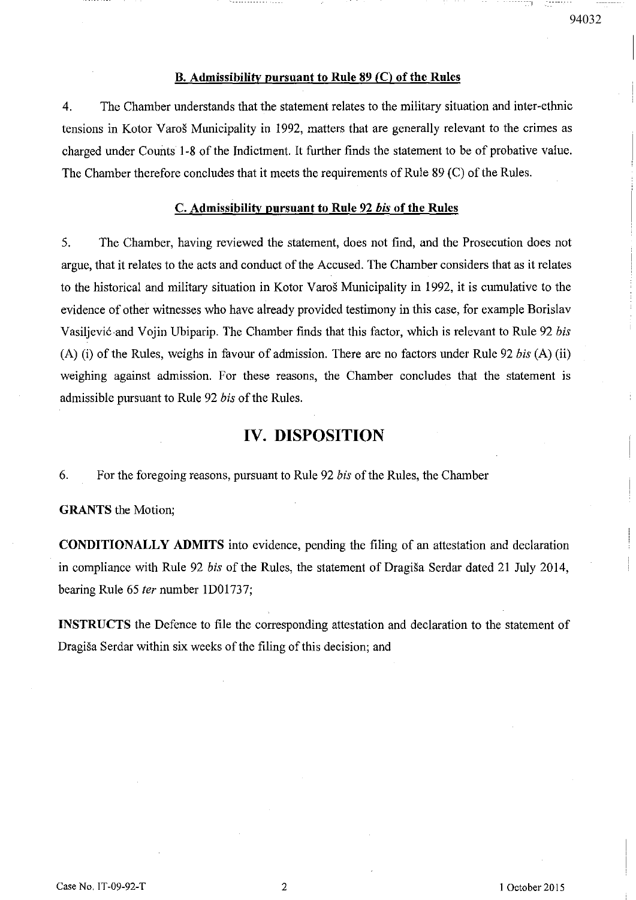#### B. Admissibility pursuant to Rule  $89$  (C) of the Rules

4. The Chamber understands that the statement relates to the military situation and inter-ethnic tensions in Kotor Yaros Municipality in 1992, matters that are generally relevant to the crimes as charged under Counts 1-8 of the Indictment. It further finds the statement to be of probative value. The Chamber therefore concludes that it meets the requirements of Rule 89 (C) of the Rules.

#### C. Admissibility pursuant to Rule 92 *his* of the Rules

5. The Chamber, having reviewed the statement, does not find, and the Prosecution does not argue, that it relates to the acts and conduct of the Accused. The Chamber considers that as it relates to the historical and military situation in Kotor Varos Municipality in 1992, it is cumulative to the evidence of other witnesses who have already provided testimony in this case, for example Borislav Vasiljević and Vojin Ubiparip. The Chamber finds that this factor, which is relevant to Rule 92 *bis* (A) (i) of the Rules, weighs in favour of admission. There are no factors under Rule 92 *his* (A) (ii) weighing against admission. For these reasons, the Chamber concludes that the statement is admissible pursuant to Rule 92 *his* of the Rules.

### **IV. DISPOSITION**

6. For the foregoing reasons, pursuant to Rule 92 *his* ofthe Rules, the Chamber

GRANTS the Motion;

CONDITIONALLY ADMITS into evidence, pending the filing of an attestation and declaration in compliance with Rule 92 *bis* of the Rules, the statement of Dragiša Serdar dated 21 July 2014, bearing Rule 65 fer number lD01737;

INSTRUCTS the Defence to file the corresponding attestation and declaration to the statement of Dragisa Serdar within six weeks of the filing of this decision; and

--------1